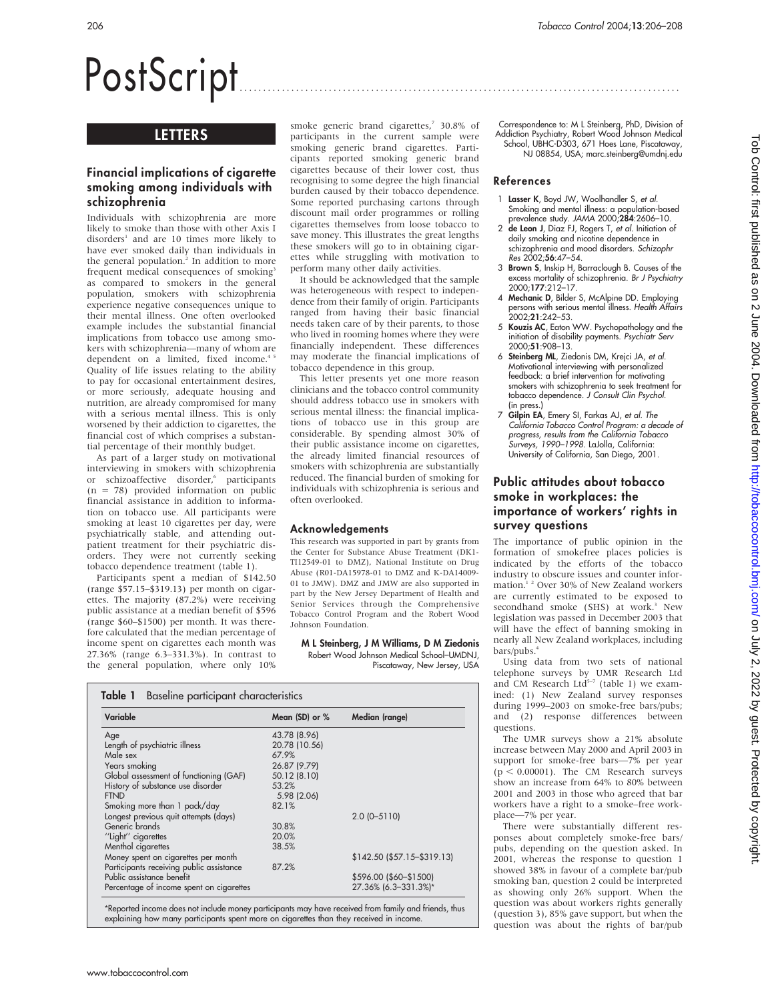# PostScript

# **LETTERS**

# Financial implications of cigarette smoking among individuals with schizophrenia

Individuals with schizophrenia are more likely to smoke than those with other Axis I disorders<sup>1</sup> and are 10 times more likely to have ever smoked daily than individuals in the general population.<sup>2</sup> In addition to more frequent medical consequences of smoking<sup>3</sup> as compared to smokers in the general population, smokers with schizophrenia experience negative consequences unique to their mental illness. One often overlooked example includes the substantial financial implications from tobacco use among smokers with schizophrenia—many of whom are dependent on a limited, fixed income.<sup>4</sup> Quality of life issues relating to the ability to pay for occasional entertainment desires, or more seriously, adequate housing and nutrition, are already compromised for many with a serious mental illness. This is only worsened by their addiction to cigarettes, the financial cost of which comprises a substantial percentage of their monthly budget.

As part of a larger study on motivational interviewing in smokers with schizophrenia or schizoaffective disorder,<sup>6</sup> participants  $(n = 78)$  provided information on public financial assistance in addition to information on tobacco use. All participants were smoking at least 10 cigarettes per day, were psychiatrically stable, and attending outpatient treatment for their psychiatric disorders. They were not currently seeking tobacco dependence treatment (table 1).

Participants spent a median of \$142.50 (range \$57.15–\$319.13) per month on cigarettes. The majority (87.2%) were receiving public assistance at a median benefit of \$596 (range \$60–\$1500) per month. It was therefore calculated that the median percentage of income spent on cigarettes each month was 27.36% (range 6.3–331.3%). In contrast to the general population, where only 10%

smoke generic brand cigarettes,<sup>7</sup> 30.8% of participants in the current sample were smoking generic brand cigarettes. Participants reported smoking generic brand cigarettes because of their lower cost, thus recognising to some degree the high financial burden caused by their tobacco dependence. Some reported purchasing cartons through discount mail order programmes or rolling cigarettes themselves from loose tobacco to save money. This illustrates the great lengths these smokers will go to in obtaining cigarettes while struggling with motivation to perform many other daily activities.

It should be acknowledged that the sample was heterogeneous with respect to independence from their family of origin. Participants ranged from having their basic financial needs taken care of by their parents, to those who lived in rooming homes where they were financially independent. These differences may moderate the financial implications of tobacco dependence in this group.

This letter presents yet one more reason clinicians and the tobacco control community should address tobacco use in smokers with serious mental illness: the financial implications of tobacco use in this group are considerable. By spending almost 30% of their public assistance income on cigarettes, the already limited financial resources of smokers with schizophrenia are substantially reduced. The financial burden of smoking for individuals with schizophrenia is serious and often overlooked.

### Acknowledgements

This research was supported in part by grants from the Center for Substance Abuse Treatment (DK1- TI12549-01 to DMZ), National Institute on Drug Abuse (R01-DA15978-01 to DMZ and K-DA14009- 01 to JMW). DMZ and JMW are also supported in part by the New Jersey Department of Health and Senior Services through the Comprehensive Tobacco Control Program and the Robert Wood Johnson Foundation.

M L Steinberg, J M Williams, D M Ziedonis Robert Wood Johnson Medical School–UMDNJ, Piscataway, New Jersey, USA

| Variable                                 | Mean (SD) or % | Median (range)               |  |  |
|------------------------------------------|----------------|------------------------------|--|--|
| Age                                      | 43.78 (8.96)   |                              |  |  |
| Length of psychiatric illness            | 20.78 (10.56)  |                              |  |  |
| Male sex                                 | 67.9%          |                              |  |  |
| Years smoking                            | 26.87 (9.79)   |                              |  |  |
| Global assessment of functioning (GAF)   | 50.12 (8.10)   |                              |  |  |
| History of substance use disorder        | 53.2%          |                              |  |  |
| <b>FTND</b>                              | 5.98 (2.06)    |                              |  |  |
| Smoking more than 1 pack/day             | 82.1%          |                              |  |  |
| Longest previous quit attempts (days)    |                | $2.0$ (0-5110)               |  |  |
| Generic brands                           | 30.8%          |                              |  |  |
| "Light" cigarettes                       | 20.0%          |                              |  |  |
| Menthol cigarettes                       | 38.5%          |                              |  |  |
| Money spent on cigarettes per month      |                | $$142.50$ (\$57.15-\$319.13) |  |  |
| Participants receiving public assistance | 87.2%          |                              |  |  |
| Public assistance benefit                |                | \$596.00 (\$60-\$1500)       |  |  |
| Percentage of income spent on cigarettes |                | 27.36% (6.3-331.3%)*         |  |  |

come does not include money participants may have received trom tamily and triends, thus explaining how many participants spent more on cigarettes than they received in income.

Correspondence to: M L Steinberg, PhD, Division of Addiction Psychiatry, Robert Wood Johnson Medical School, UBHC-D303, 671 Hoes Lane, Piscataway, NJ 08854, USA; marc.steinberg@umdnj.edu

#### References

- 1 Lasser K, Boyd JW, Woolhandler S, et al. Smoking and mental illness: a population-based prevalence study. JAMA 2000;284:2606–10.
- 2 de Leon J, Diaz FJ, Rogers T, et al. Initiation of daily smoking and nicotine dependence in schizophrenia and mood disorders. Schizophr Res 2002;56:47–54.
- 3 Brown S, Inskip H, Barraclough B. Causes of the excess mortality of schizophrenia. Br J Psychiatry 2000;177:212–17.
- 4 Mechanic D, Bilder S, McAlpine DD. Employing persons with serious mental illness. *Health Affairs*<br>2002;**21**:242–53.
- 5 Kouzis AC, Eaton WW. Psychopathology and the initiation of disability payments. Psychiatr Serv 2000;51:908–13.
- 6 Steinberg ML, Ziedonis DM, Krejci JA, et al. Motivational interviewing with personalized feedback: a brief intervention for motivating smokers with schizophrenia to seek treatment for tobacco dependence. J Consult Clin Psychol. (in press.)
- 7 Gilpin EA, Emery SI, Farkas AJ, et al. The California Tobacco Control Program: a decade of progress, results from the California Tobacco Surveys, 1990–1998. LaJolla, California: University of California, San Diego, 2001.

# Public attitudes about tobacco smoke in workplaces: the importance of workers' rights in survey questions

The importance of public opinion in the formation of smokefree places policies is indicated by the efforts of the tobacco industry to obscure issues and counter information.<sup>12</sup> Over 30% of New Zealand workers are currently estimated to be exposed to secondhand smoke (SHS) at work.<sup>3</sup> New legislation was passed in December 2003 that will have the effect of banning smoking in nearly all New Zealand workplaces, including bars/pubs.4

Using data from two sets of national telephone surveys by UMR Research Ltd<br>and CM Research Ltd<sup>5-7</sup> (table 1) we examined: (1) New Zealand survey responses during 1999–2003 on smoke-free bars/pubs; and (2) response differences between questions.

The UMR surveys show a 21% absolute increase between May 2000 and April 2003 in support for smoke-free bars—7% per year  $(p < 0.00001)$ . The CM Research surveys show an increase from 64% to 80% between 2001 and 2003 in those who agreed that bar workers have a right to a smoke–free workplace—7% per year.

There were substantially different responses about completely smoke-free bars/ pubs, depending on the question asked. In 2001, whereas the response to question 1 showed 38% in favour of a complete bar/pub smoking ban, question 2 could be interpreted as showing only 26% support. When the question was about workers rights generally (question 3), 85% gave support, but when the question was about the rights of bar/pub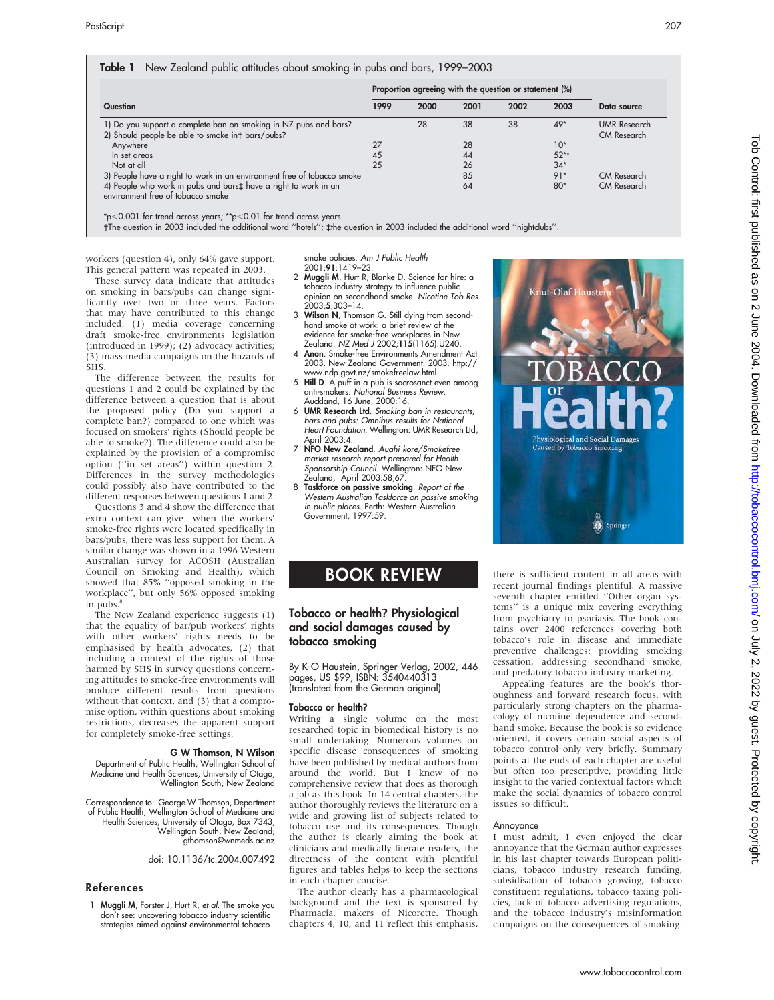| Question                                                                                                             | Proportion agreeing with the question or statement (%) |      |      |      |        |                                    |
|----------------------------------------------------------------------------------------------------------------------|--------------------------------------------------------|------|------|------|--------|------------------------------------|
|                                                                                                                      | 1999                                                   | 2000 | 2001 | 2002 | 2003   | Data source                        |
| 1) Do you support a complete ban on smoking in NZ pubs and bars?<br>2) Should people be able to smoke int bars/pubs? |                                                        | 28   | 38   | 38   | $49*$  | <b>UMR</b> Research<br>CM Research |
| Anywhere                                                                                                             | 27                                                     |      | 28   |      | $10*$  |                                    |
| In set areas                                                                                                         | 45                                                     |      | 44   |      | $52**$ |                                    |
| Not at all                                                                                                           | 25                                                     |      | 26   |      | $34*$  |                                    |
| 3) People have a right to work in an environment free of tobacco smoke                                               |                                                        |      | 85   |      | $91*$  | CM Research                        |
| 4) People who work in pubs and barst have a right to work in an<br>environment free of tobacco smoke                 |                                                        |      | 64   |      | $80*$  | CM Research                        |

 $p<0.001$  for trend across years;  $*p<0.01$  for trend across years.

The question in 2003 included the additional word ''hotels''; `the question in 2003 included the additional word ''nightclubs''.

workers (question 4), only 64% gave support. This general pattern was repeated in 2003.

These survey data indicate that attitudes on smoking in bars/pubs can change significantly over two or three years. Factors that may have contributed to this change included: (1) media coverage concerning draft smoke-free environments legislation (introduced in 1999); (2) advocacy activities; (3) mass media campaigns on the hazards of SHS.

The difference between the results for questions 1 and 2 could be explained by the difference between a question that is about the proposed policy (Do you support a complete ban?) compared to one which was focused on smokers' rights (Should people be able to smoke?). The difference could also be explained by the provision of a compromise option (''in set areas'') within question 2. Differences in the survey methodologies could possibly also have contributed to the different responses between questions 1 and 2.

Questions 3 and 4 show the difference that extra context can give—when the workers' smoke-free rights were located specifically in bars/pubs, there was less support for them. A similar change was shown in a 1996 Western Australian survey for ACOSH (Australian Council on Smoking and Health), which showed that 85% ''opposed smoking in the workplace'', but only 56% opposed smoking in pubs.<sup>8</sup>

The New Zealand experience suggests (1) that the equality of bar/pub workers' rights with other workers' rights needs to be emphasised by health advocates, (2) that including a context of the rights of those harmed by SHS in survey questions concerning attitudes to smoke-free environments will produce different results from questions without that context, and (3) that a compromise option, within questions about smoking restrictions, decreases the apparent support for completely smoke-free settings.

#### G W Thomson, N Wilson

Department of Public Health, Wellington School of Medicine and Health Sciences, University of Otago, Wellington South, New Zealand

Correspondence to: George W Thomson, Department of Public Health, Wellington School of Medicine and Health Sciences, University of Otago, Box 7343, Wellington South, New Zealand; gthomson@wnmeds.ac.nz

doi: 10.1136/tc.2004.007492

#### References

1 **Muggli M**, Forster J, Hurt R, et al. The smoke you don't see: uncovering tobacco industry scientific strategies aimed against environmental tobacco

smoke policies. Am J Public Health 2001;91:1419–23.

- 2 Muggli M, Hurt R, Blanke D. Science for hire: a tobacco industry strategy to influence public opinion on secondhand smoke. Nicotine Tob Res 2003;5:303–14.
- 3 Wilson N, Thomson G. Still dying from secondhand smoke at work: a brief review of the evidence for smoke-free workplaces in New Zealand. NZ Med J 2002;115(1165):U240.
- Anon. Smoke-free Environments Amendment Act 2003. New Zealand Government. 2003. http://
- www.ndp.govt.nz/smokefreelaw.html. 5 Hill D. A puff in a pub is sacrosanct even among anti-smokers. National Business Review.
- Auckland, 16 June, 2000:16.<br>6 **UMR Research Ltd**. *Smoking ban in restaurants,* bars and pubs: Omnibus results for National Heart Foundation. Wellington: UMR Research Ltd, April 2003:4.
- 7 NFO New Zealand. Auahi kore/Smokefree market research report prepared for Health Sponsorship Council. Wellington: NFO New Zealand, April 2003:58,67.
- Taskforce on passive smoking. Report of the Western Australian Taskforce on passive smoking in public places. Perth: Western Australian Government, 1997:59.

# BOOK REVIEW

## Tobacco or health? Physiological and social damages caused by tobacco smoking

By K-O Haustein, Springer-Verlag, 2002, 446 pages, US \$99, ISBN: 3540440313 (translated from the German original)

#### Tobacco or health?

Writing a single volume on the most researched topic in biomedical history is no small undertaking. Numerous volumes on specific disease consequences of smoking have been published by medical authors from around the world. But I know of no comprehensive review that does as thorough a job as this book. In 14 central chapters, the author thoroughly reviews the literature on a wide and growing list of subjects related to tobacco use and its consequences. Though the author is clearly aiming the book at clinicians and medically literate readers, the directness of the content with plentiful figures and tables helps to keep the sections in each chapter concise.

The author clearly has a pharmacological background and the text is sponsored by Pharmacia, makers of Nicorette. Though chapters 4, 10, and 11 reflect this emphasis,

there is sufficient content in all areas with recent journal findings plentiful. A massive seventh chapter entitled ''Other organ systems'' is a unique mix covering everything from psychiatry to psoriasis. The book contains over 2400 references covering both tobacco's role in disease and immediate preventive challenges: providing smoking cessation, addressing secondhand smoke, and predatory tobacco industry marketing.

Appealing features are the book's thoroughness and forward research focus, with particularly strong chapters on the pharmacology of nicotine dependence and secondhand smoke. Because the book is so evidence oriented, it covers certain social aspects of tobacco control only very briefly. Summary points at the ends of each chapter are useful but often too prescriptive, providing little insight to the varied contextual factors which make the social dynamics of tobacco control issues so difficult.

#### Annoyance

I must admit, I even enjoyed the clear annoyance that the German author expresses in his last chapter towards European politicians, tobacco industry research funding, subsidisation of tobacco growing, tobacco constituent regulations, tobacco taxing policies, lack of tobacco advertising regulations, and the tobacco industry's misinformation campaigns on the consequences of smoking.